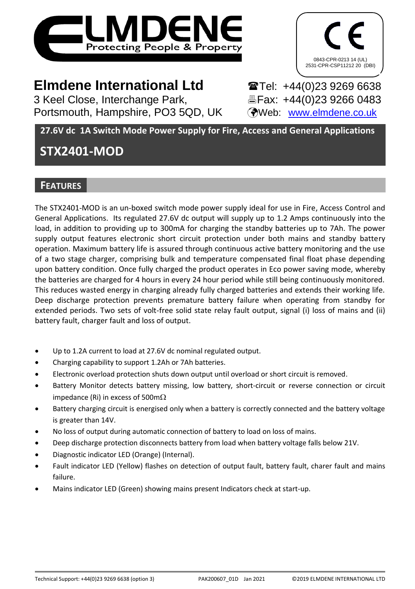



# **Elmdene International Ltd** Tel: +44(0)23 9269 6638

3 Keel Close, Interchange Park, Fax: +44(0)23 9266 0483 Portsmouth, Hampshire, PO3 5QD, UK (Web: [www.elmdene.co.uk](http://www.elmdene.co.uk/))

**27.6V dc 1A Switch Mode Power Supply for Fire, Access and General Applications**

# **STX2401-MOD**

# **FEATURES**

The STX2401-MOD is an un-boxed switch mode power supply ideal for use in Fire, Access Control and General Applications. Its regulated 27.6V dc output will supply up to 1.2 Amps continuously into the load, in addition to providing up to 300mA for charging the standby batteries up to 7Ah. The power supply output features electronic short circuit protection under both mains and standby battery operation. Maximum battery life is assured through continuous active battery monitoring and the use of a two stage charger, comprising bulk and temperature compensated final float phase depending upon battery condition. Once fully charged the product operates in Eco power saving mode, whereby the batteries are charged for 4 hours in every 24 hour period while still being continuously monitored. This reduces wasted energy in charging already fully charged batteries and extends their working life. Deep discharge protection prevents premature battery failure when operating from standby for extended periods. Two sets of volt-free solid state relay fault output, signal (i) loss of mains and (ii) battery fault, charger fault and loss of output.

- Up to 1.2A current to load at 27.6V dc nominal regulated output.
- Charging capability to support 1.2Ah or 7Ah batteries.
- Electronic overload protection shuts down output until overload or short circuit is removed.
- Battery Monitor detects battery missing, low battery, short-circuit or reverse connection or circuit impedance (Ri) in excess of 500m $\Omega$
- Battery charging circuit is energised only when a battery is correctly connected and the battery voltage is greater than 14V.
- No loss of output during automatic connection of battery to load on loss of mains.
- Deep discharge protection disconnects battery from load when battery voltage falls below 21V.
- Diagnostic indicator LED (Orange) (Internal).
- Fault indicator LED (Yellow) flashes on detection of output fault, battery fault, charer fault and mains failure.
- Mains indicator LED (Green) showing mains present Indicators check at start-up.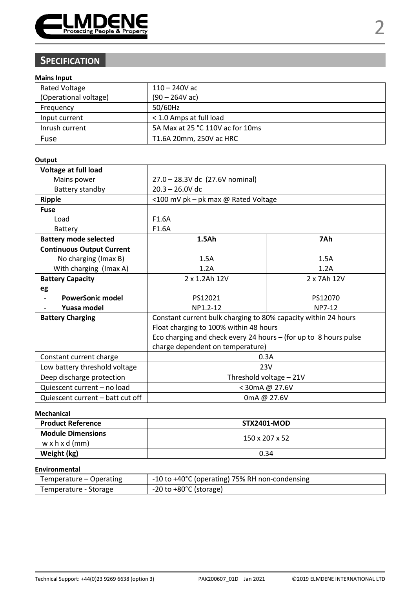

# **SPECIFICATION**

### **Mains Input**

| <b>Rated Voltage</b>  | $110 - 240V$ ac                  |  |
|-----------------------|----------------------------------|--|
| (Operational voltage) | $(90 - 264V ac)$                 |  |
| Frequency             | 50/60Hz                          |  |
| Input current         | < 1.0 Amps at full load          |  |
| Inrush current        | 5A Max at 25 °C 110V ac for 10ms |  |
| Fuse                  | T1.6A 20mm, 250V ac HRC          |  |

#### **Output**

| Voltage at full load             |                                                                  |        |  |  |
|----------------------------------|------------------------------------------------------------------|--------|--|--|
| Mains power                      | 27.0 - 28.3V dc (27.6V nominal)                                  |        |  |  |
| Battery standby                  | $20.3 - 26.0V$ dc                                                |        |  |  |
| Ripple                           | <100 mV pk - pk max @ Rated Voltage                              |        |  |  |
| Fuse                             |                                                                  |        |  |  |
| Load                             | F <sub>1.6</sub> A                                               |        |  |  |
| Battery                          | F1.6A                                                            |        |  |  |
| <b>Battery mode selected</b>     | 1.5Ah                                                            | 7Ah    |  |  |
| <b>Continuous Output Current</b> |                                                                  |        |  |  |
| No charging (Imax B)             | 1.5A                                                             | 1.5A   |  |  |
| With charging (Imax A)           | 1.2A<br>1.2A                                                     |        |  |  |
| <b>Battery Capacity</b>          | 2 x 1.2Ah 12V<br>2 x 7Ah 12V                                     |        |  |  |
| eg                               |                                                                  |        |  |  |
| <b>PowerSonic model</b>          | PS12021<br>PS12070                                               |        |  |  |
| Yuasa model                      | NP1.2-12                                                         | NP7-12 |  |  |
| <b>Battery Charging</b>          | Constant current bulk charging to 80% capacity within 24 hours   |        |  |  |
|                                  | Float charging to 100% within 48 hours                           |        |  |  |
|                                  | Eco charging and check every 24 hours – (for up to 8 hours pulse |        |  |  |
|                                  | charge dependent on temperature)                                 |        |  |  |
| Constant current charge          | 0.3A                                                             |        |  |  |
| Low battery threshold voltage    | 23V                                                              |        |  |  |
| Deep discharge protection        | Threshold voltage - 21V                                          |        |  |  |
| Quiescent current - no load      | < 30mA @ 27.6V                                                   |        |  |  |
| Quiescent current - batt cut off | 0mA @ 27.6V                                                      |        |  |  |

### **Mechanical**

| <b>Product Reference</b>                               | <b>STX2401-MOD</b> |
|--------------------------------------------------------|--------------------|
| <b>Module Dimensions</b><br>$w \times h \times d$ (mm) | 150 x 207 x 52     |
| Weight (kg)                                            | 0.34               |

### **Environmental**

| Temperature – Operating | -10 to +40°C (operating) 75% RH non-condensing |
|-------------------------|------------------------------------------------|
| Temperature - Storage   | $-20$ to $+80^{\circ}$ C (storage)             |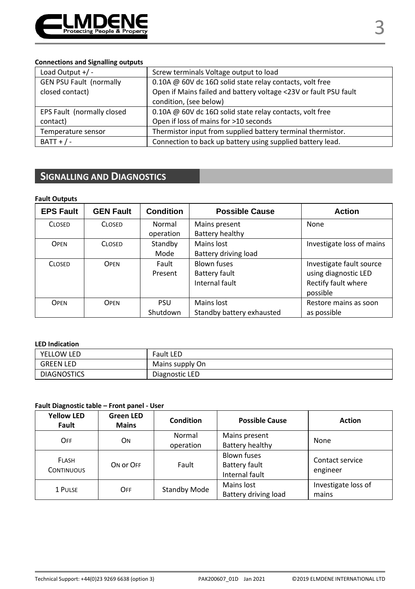

#### **Connections and Signalling outputs**

| Load Output $+/-$              | Screw terminals Voltage output to load                           |  |
|--------------------------------|------------------------------------------------------------------|--|
| <b>GEN PSU Fault (normally</b> | 0.10A @ 60V dc 16 $\Omega$ solid state relay contacts, volt free |  |
| closed contact)                | Open if Mains failed and battery voltage <23V or fault PSU fault |  |
|                                | condition, (see below)                                           |  |
| EPS Fault (normally closed     | 0.10A @ 60V dc 16 $\Omega$ solid state relay contacts, volt free |  |
| contact)                       | Open if loss of mains for >10 seconds                            |  |
| Temperature sensor             | Thermistor input from supplied battery terminal thermistor.      |  |
| $BAT + / -$                    | Connection to back up battery using supplied battery lead.       |  |

# **SIGNALLING AND DIAGNOSTICS**

#### **Fault Outputs**

| <b>EPS Fault</b> | <b>GEN Fault</b> | Condition | <b>Possible Cause</b>     | <b>Action</b>             |
|------------------|------------------|-----------|---------------------------|---------------------------|
| <b>CLOSED</b>    | <b>CLOSED</b>    | Normal    | Mains present             | None                      |
|                  |                  | operation | Battery healthy           |                           |
| OPEN             | <b>CLOSED</b>    | Standby   | Mains lost                | Investigate loss of mains |
|                  |                  | Mode      | Battery driving load      |                           |
| <b>CLOSED</b>    | OPEN             | Fault     | <b>Blown fuses</b>        | Investigate fault source  |
|                  |                  | Present   | Battery fault             | using diagnostic LED      |
|                  |                  |           | Internal fault            | Rectify fault where       |
|                  |                  |           |                           | possible                  |
| OPEN             | OPEN             | PSU       | Mains lost                | Restore mains as soon     |
|                  |                  | Shutdown  | Standby battery exhausted | as possible               |

#### **LED Indication**

| YELLOW LED         | <b>Fault LED</b> |
|--------------------|------------------|
| <b>GREEN LED</b>   | Mains supply On  |
| <b>DIAGNOSTICS</b> | Diagnostic LED   |

### **Fault Diagnostic table – Front panel - User**

| <b>Yellow LED</b><br>Fault        | <b>Green LED</b><br><b>Mains</b> | <b>Condition</b>    | <b>Possible Cause</b>                                 | <b>Action</b>                |
|-----------------------------------|----------------------------------|---------------------|-------------------------------------------------------|------------------------------|
| OFF                               | OΝ                               | Normal<br>operation | Mains present<br>Battery healthy                      | None                         |
| <b>FLASH</b><br><b>CONTINUOUS</b> | ON OF OFF                        | Fault               | <b>Blown fuses</b><br>Battery fault<br>Internal fault | Contact service<br>engineer  |
| 1 PULSE                           | <b>OFF</b>                       | Standby Mode        | Mains lost<br>Battery driving load                    | Investigate loss of<br>mains |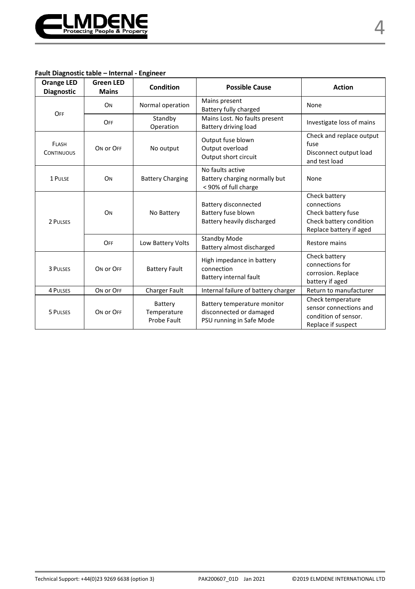

#### **Fault Diagnostic table – Internal - Engineer**

| <b>Orange LED</b><br><b>Diagnostic</b> | <b>Green LED</b><br><b>Mains</b> | Condition                             | <b>Possible Cause</b>                                                              | <b>Action</b>                                                                                            |
|----------------------------------------|----------------------------------|---------------------------------------|------------------------------------------------------------------------------------|----------------------------------------------------------------------------------------------------------|
| OFF                                    | ON                               | Normal operation                      | Mains present<br>Battery fully charged                                             | None                                                                                                     |
|                                        | OFF                              | Standby<br>Operation                  | Mains Lost. No faults present<br>Battery driving load                              | Investigate loss of mains                                                                                |
| FLASH<br><b>CONTINUOUS</b>             | ON OF OFF                        | No output                             | Output fuse blown<br>Output overload<br>Output short circuit                       | Check and replace output<br>fuse<br>Disconnect output load<br>and test load                              |
| 1 PULSE                                | ON                               | <b>Battery Charging</b>               | No faults active<br>Battery charging normally but<br>< 90% of full charge          | None                                                                                                     |
| 2 PULSES                               | ON                               | No Battery                            | <b>Battery disconnected</b><br>Battery fuse blown<br>Battery heavily discharged    | Check battery<br>connections<br>Check battery fuse<br>Check battery condition<br>Replace battery if aged |
|                                        | OFF                              | Low Battery Volts                     | <b>Standby Mode</b><br>Battery almost discharged                                   | Restore mains                                                                                            |
| 3 PULSES                               | ON OF OFF                        | <b>Battery Fault</b>                  | High impedance in battery<br>connection<br>Battery internal fault                  | Check battery<br>connections for<br>corrosion. Replace<br>battery if aged                                |
| 4 PULSES                               | ON OF OFF                        | Charger Fault                         | Internal failure of battery charger                                                | Return to manufacturer                                                                                   |
| 5 PULSES                               | ON OF OFF                        | Battery<br>Temperature<br>Probe Fault | Battery temperature monitor<br>disconnected or damaged<br>PSU running in Safe Mode | Check temperature<br>sensor connections and<br>condition of sensor.<br>Replace if suspect                |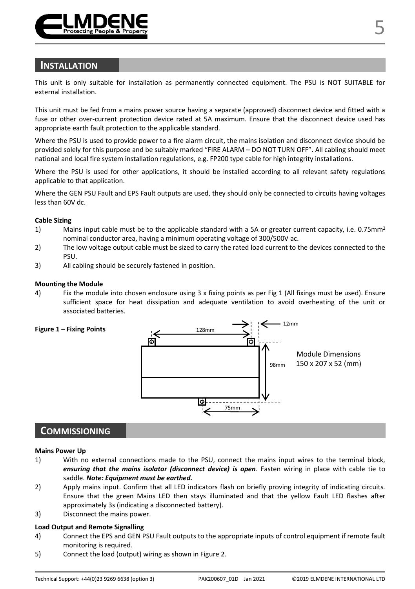

### **INSTALLATION**

This unit is only suitable for installation as permanently connected equipment. The PSU is NOT SUITABLE for external installation.

This unit must be fed from a mains power source having a separate (approved) disconnect device and fitted with a fuse or other over-current protection device rated at 5A maximum. Ensure that the disconnect device used has appropriate earth fault protection to the applicable standard.

Where the PSU is used to provide power to a fire alarm circuit, the mains isolation and disconnect device should be provided solely for this purpose and be suitably marked "FIRE ALARM – DO NOT TURN OFF". All cabling should meet national and local fire system installation regulations, e.g. FP200 type cable for high integrity installations.

Where the PSU is used for other applications, it should be installed according to all relevant safety regulations applicable to that application.

Where the GEN PSU Fault and EPS Fault outputs are used, they should only be connected to circuits having voltages less than 60V dc.

#### **Cable Sizing**

- 1) Mains input cable must be to the applicable standard with a 5A or greater current capacity, i.e. 0.75mm<sup>2</sup> nominal conductor area, having a minimum operating voltage of 300/500V ac.
- 2) The low voltage output cable must be sized to carry the rated load current to the devices connected to the PSU.
- 3) All cabling should be securely fastened in position.

#### **Mounting the Module**

4) Fix the module into chosen enclosure using 3 x fixing points as per Fig 1 (All fixings must be used). Ensure sufficient space for heat dissipation and adequate ventilation to avoid overheating of the unit or associated batteries.



# **COMMISSIONING**

#### **Mains Power Up**

- 1) With no external connections made to the PSU, connect the mains input wires to the terminal block, *ensuring that the mains isolator (disconnect device) is open*. Fasten wiring in place with cable tie to saddle. *Note: Equipment must be earthed.*
- 2) Apply mains input. Confirm that all LED indicators flash on briefly proving integrity of indicating circuits. Ensure that the green Mains LED then stays illuminated and that the yellow Fault LED flashes after approximately 3s (indicating a disconnected battery).
- 3) Disconnect the mains power.

#### **Load Output and Remote Signalling**

- 4) Connect the EPS and GEN PSU Fault outputs to the appropriate inputs of control equipment if remote fault monitoring is required.
- 5) Connect the load (output) wiring as shown in Figure 2.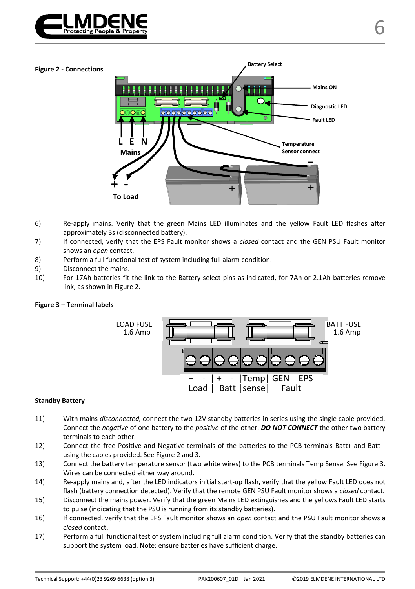

#### **Figure 2 - Connections**



- 6) Re-apply mains. Verify that the green Mains LED illuminates and the yellow Fault LED flashes after approximately 3s (disconnected battery).
- 7) If connected, verify that the EPS Fault monitor shows a *closed* contact and the GEN PSU Fault monitor shows an *open* contact.
- 8) Perform a full functional test of system including full alarm condition.
- 9) Disconnect the mains.
- 10) For 17Ah batteries fit the link to the Battery select pins as indicated, for 7Ah or 2.1Ah batteries remove link, as shown in Figure 2.

#### **Figure 3 – Terminal labels**



#### **Standby Battery**

- 11) With mains *disconnected,* connect the two 12V standby batteries in series using the single cable provided. Connect the *negative* of one battery to the *positive* of the other. *DO NOT CONNECT* the other two battery terminals to each other.
- 12) Connect the free Positive and Negative terminals of the batteries to the PCB terminals Batt+ and Batt using the cables provided. See Figure 2 and 3.
- 13) Connect the battery temperature sensor (two white wires) to the PCB terminals Temp Sense. See Figure 3. Wires can be connected either way around.
- 14) Re-apply mains and, after the LED indicators initial start-up flash, verify that the yellow Fault LED does not flash (battery connection detected). Verify that the remote GEN PSU Fault monitor shows a *closed* contact.
- 15) Disconnect the mains power. Verify that the green Mains LED extinguishes and the yellows Fault LED starts to pulse (indicating that the PSU is running from its standby batteries).
- 16) If connected, verify that the EPS Fault monitor shows an *open* contact and the PSU Fault monitor shows a *closed* contact.
- 17) Perform a full functional test of system including full alarm condition. Verify that the standby batteries can support the system load. Note: ensure batteries have sufficient charge.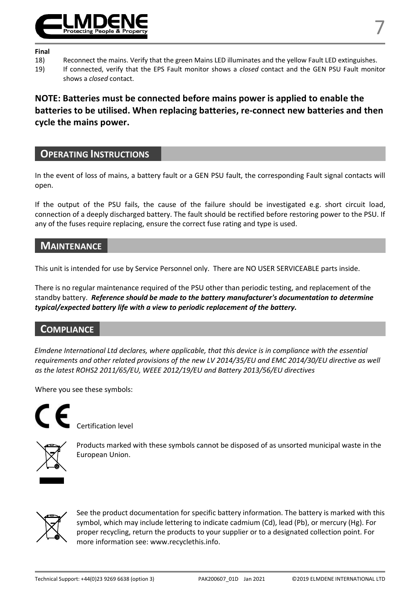

#### **Final**

- 
- 18) Reconnect the mains. Verify that the green Mains LED illuminates and the yellow Fault LED extinguishes.<br>19) If connected, verify that the EPS Fault monitor shows a closed contact and the GEN PSU Fault monit 19) If connected, verify that the EPS Fault monitor shows a *closed* contact and the GEN PSU Fault monitor shows a *closed* contact.

**NOTE: Batteries must be connected before mains power is applied to enable the batteries to be utilised. When replacing batteries, re-connect new batteries and then cycle the mains power.** 

# **OPERATING INSTRUCTIONS**

In the event of loss of mains, a battery fault or a GEN PSU fault, the corresponding Fault signal contacts will open.

If the output of the PSU fails, the cause of the failure should be investigated e.g. short circuit load, connection of a deeply discharged battery. The fault should be rectified before restoring power to the PSU. If any of the fuses require replacing, ensure the correct fuse rating and type is used.

# **MAINTENANCE**

This unit is intended for use by Service Personnel only. There are NO USER SERVICEABLE parts inside.

There is no regular maintenance required of the PSU other than periodic testing, and replacement of the standby battery. *Reference should be made to the battery manufacturer's documentation to determine typical/expected battery life with a view to periodic replacement of the battery.* 

# **COMPLIANCE**

*Elmdene International Ltd declares, where applicable, that this device is in compliance with the essential requirements and other related provisions of the new LV 2014/35/EU and EMC 2014/30/EU directive as well as the latest ROHS2 2011/65/EU, WEEE 2012/19/EU and Battery 2013/56/EU directives*

Where you see these symbols:

Certification level



Products marked with these symbols cannot be disposed of as unsorted municipal waste in the European Union.



See the product documentation for specific battery information. The battery is marked with this symbol, which may include lettering to indicate cadmium (Cd), lead (Pb), or mercury (Hg). For proper recycling, return the products to your supplier or to a designated collection point. For more information see[: www.recyclethis.info.](http://www.recyclethis.info/)